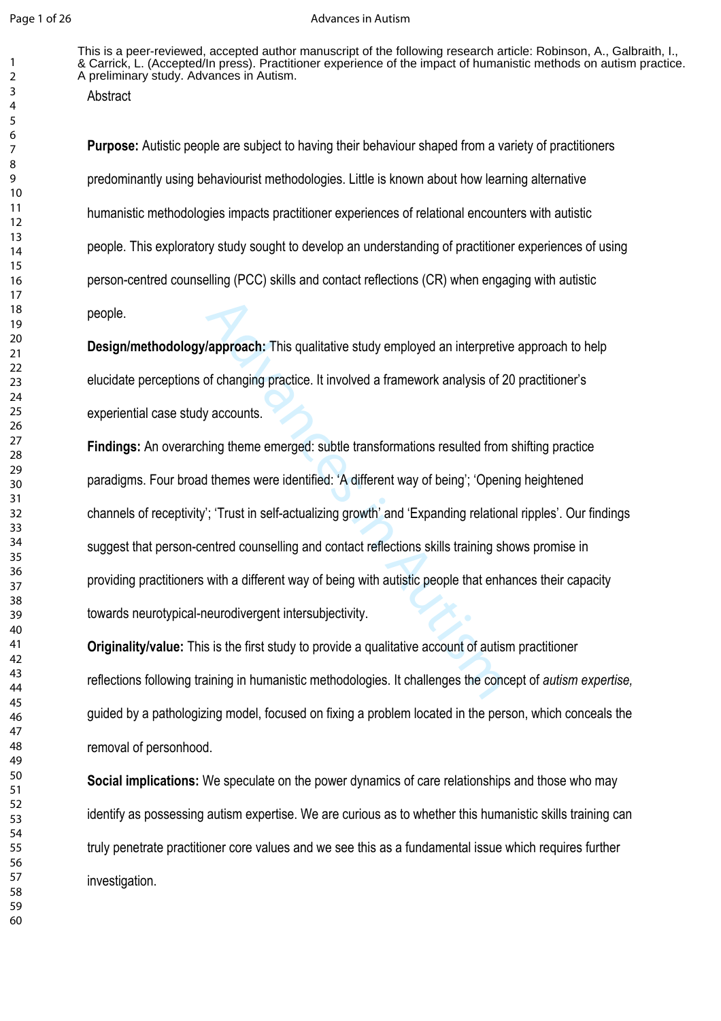### Page 1 of 26 Advances in Autism

This is a peer-reviewed, accepted author manuscript of the following research article: Robinson, A., Galbraith, I., & Carrick, L. (Accepted/In press). Practitioner experience of the impact of humanistic methods on autism practice. A preliminary study. Advances in Autism.

**Abstract** 

**Purpose:** Autistic people are subject to having their behaviour shaped from a variety of practitioners predominantly using behaviourist methodologies. Little is known about how learning alternative humanistic methodologies impacts practitioner experiences of relational encounters with autistic people. This exploratory study sought to develop an understanding of practitioner experiences of using person-centred counselling (PCC) skills and contact reflections (CR) when engaging with autistic people.

**Design/methodology/approach:** This qualitative study employed an interpretive approach to help elucidate perceptions of changing practice. It involved a framework analysis of 20 practitioner's experiential case study accounts.

Andersignalisative study employed an interpretival approach: This qualitative study employed an interpretive of changing practice. It involved a framework analysis of 2 accounts.<br>
Accounts.<br>
Accounts.<br>
Accounts in all term **Findings:** An overarching theme emerged: subtle transformations resulted from shifting practice paradigms. Four broad themes were identified: 'A different way of being'; 'Opening heightened channels of receptivity'; 'Trust in self-actualizing growth' and 'Expanding relational ripples'. Our findings suggest that person-centred counselling and contact reflections skills training shows promise in providing practitioners with a different way of being with autistic people that enhances their capacity towards neurotypical-neurodivergent intersubjectivity.

**Originality/value:** This is the first study to provide a qualitative account of autism practitioner reflections following training in humanistic methodologies. It challenges the concept of *autism expertise,*  guided by a pathologizing model, focused on fixing a problem located in the person, which conceals the removal of personhood.

**Social implications:** We speculate on the power dynamics of care relationships and those who may identify as possessing autism expertise. We are curious as to whether this humanistic skills training can truly penetrate practitioner core values and we see this as a fundamental issue which requires further investigation.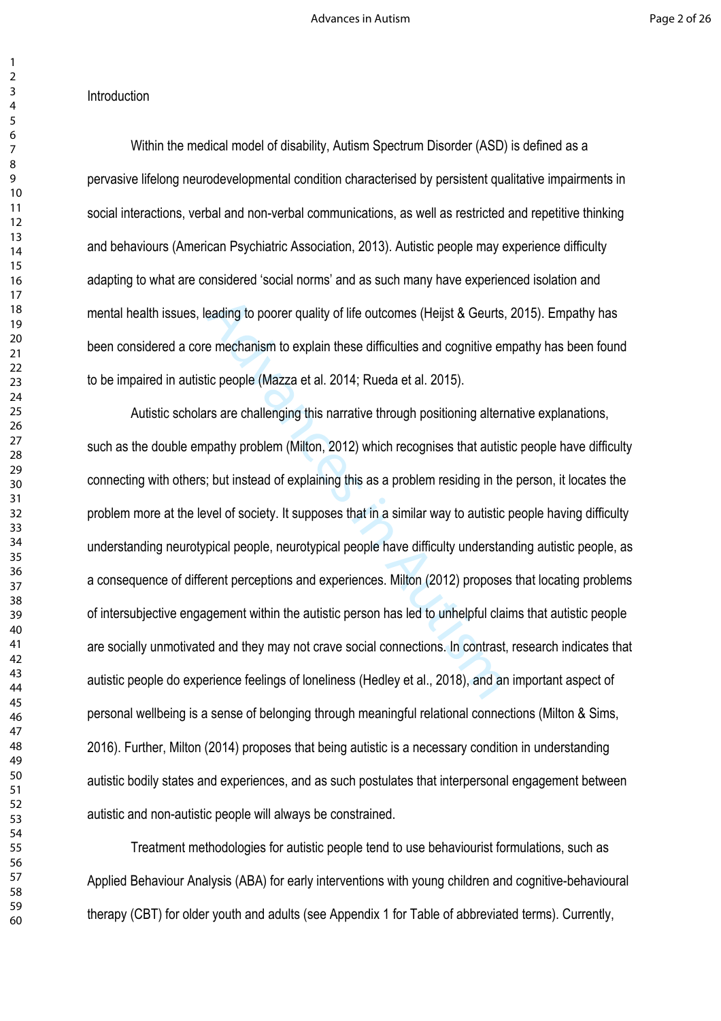### Introduction

Within the medical model of disability, Autism Spectrum Disorder (ASD) is defined as a pervasive lifelong neurodevelopmental condition characterised by persistent qualitative impairments in social interactions, verbal and non-verbal communications, as well as restricted and repetitive thinking and behaviours (American Psychiatric Association, 2013). Autistic people may experience difficulty adapting to what are considered 'social norms' and as such many have experienced isolation and mental health issues, leading to poorer quality of life outcomes (Heijst & Geurts, 2015). Empathy has been considered a core mechanism to explain these difficulties and cognitive empathy has been found to be impaired in autistic people (Mazza et al. 2014; Rueda et al. 2015).

eading to poorer quality of life outcomes (Heijst & Geurts,<br>e mechanism to explain these difficulties and cognitive er<br>tic people (Mazza et al. 2014; Rueda et al. 2015).<br>Ins are challenging this narrative through positioni Autistic scholars are challenging this narrative through positioning alternative explanations, such as the double empathy problem (Milton, 2012) which recognises that autistic people have difficulty connecting with others; but instead of explaining this as a problem residing in the person, it locates the problem more at the level of society. It supposes that in a similar way to autistic people having difficulty understanding neurotypical people, neurotypical people have difficulty understanding autistic people, as a consequence of different perceptions and experiences. Milton (2012) proposes that locating problems of intersubjective engagement within the autistic person has led to unhelpful claims that autistic people are socially unmotivated and they may not crave social connections. In contrast, research indicates that autistic people do experience feelings of loneliness (Hedley et al., 2018), and an important aspect of personal wellbeing is a sense of belonging through meaningful relational connections (Milton & Sims, 2016). Further, Milton (2014) proposes that being autistic is a necessary condition in understanding autistic bodily states and experiences, and as such postulates that interpersonal engagement between autistic and non-autistic people will always be constrained.

Treatment methodologies for autistic people tend to use behaviourist formulations, such as Applied Behaviour Analysis (ABA) for early interventions with young children and cognitive-behavioural therapy (CBT) for older youth and adults (see Appendix 1 for Table of abbreviated terms). Currently,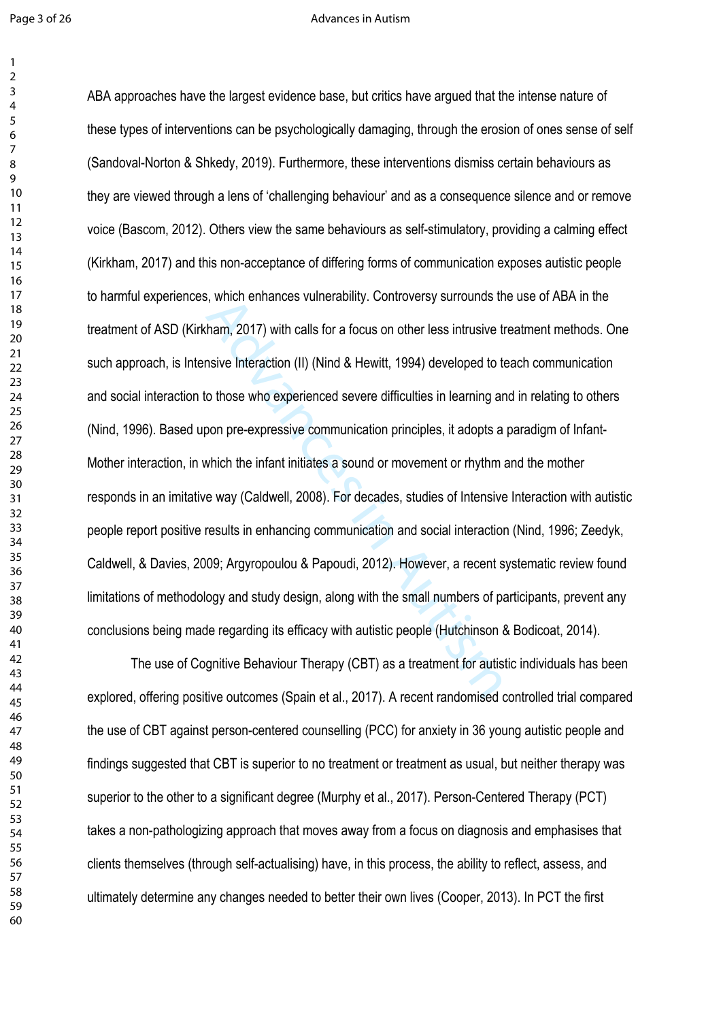#### Page 3 of 26 Advances in Autism

s, which enhances vulnerability. Controversy surrounds the<br>mam, 2017) with calls for a focus on other less intrusive tr<br>nsive Interaction (II) (Nind & Hewitt, 1994) developed to to<br>to those who experienced severe difficult ABA approaches have the largest evidence base, but critics have argued that the intense nature of these types of interventions can be psychologically damaging, through the erosion of ones sense of self (Sandoval-Norton & Shkedy, 2019). Furthermore, these interventions dismiss certain behaviours as they are viewed through a lens of 'challenging behaviour' and as a consequence silence and or remove voice (Bascom, 2012). Others view the same behaviours as self-stimulatory, providing a calming effect (Kirkham, 2017) and this non-acceptance of differing forms of communication exposes autistic people to harmful experiences, which enhances vulnerability. Controversy surrounds the use of ABA in the treatment of ASD (Kirkham, 2017) with calls for a focus on other less intrusive treatment methods. One such approach, is Intensive Interaction (II) (Nind & Hewitt, 1994) developed to teach communication and social interaction to those who experienced severe difficulties in learning and in relating to others (Nind, 1996). Based upon pre-expressive communication principles, it adopts a paradigm of Infant-Mother interaction, in which the infant initiates a sound or movement or rhythm and the mother responds in an imitative way (Caldwell, 2008). For decades, studies of Intensive Interaction with autistic people report positive results in enhancing communication and social interaction (Nind, 1996; Zeedyk, Caldwell, & Davies, 2009; Argyropoulou & Papoudi, 2012). However, a recent systematic review found limitations of methodology and study design, along with the small numbers of participants, prevent any conclusions being made regarding its efficacy with autistic people (Hutchinson & Bodicoat, 2014).

The use of Cognitive Behaviour Therapy (CBT) as a treatment for autistic individuals has been explored, offering positive outcomes (Spain et al., 2017). A recent randomised controlled trial compared the use of CBT against person-centered counselling (PCC) for anxiety in 36 young autistic people and findings suggested that CBT is superior to no treatment or treatment as usual, but neither therapy was superior to the other to a significant degree (Murphy et al., 2017). Person-Centered Therapy (PCT) takes a non-pathologizing approach that moves away from a focus on diagnosis and emphasises that clients themselves (through self-actualising) have, in this process, the ability to reflect, assess, and ultimately determine any changes needed to better their own lives (Cooper, 2013). In PCT the first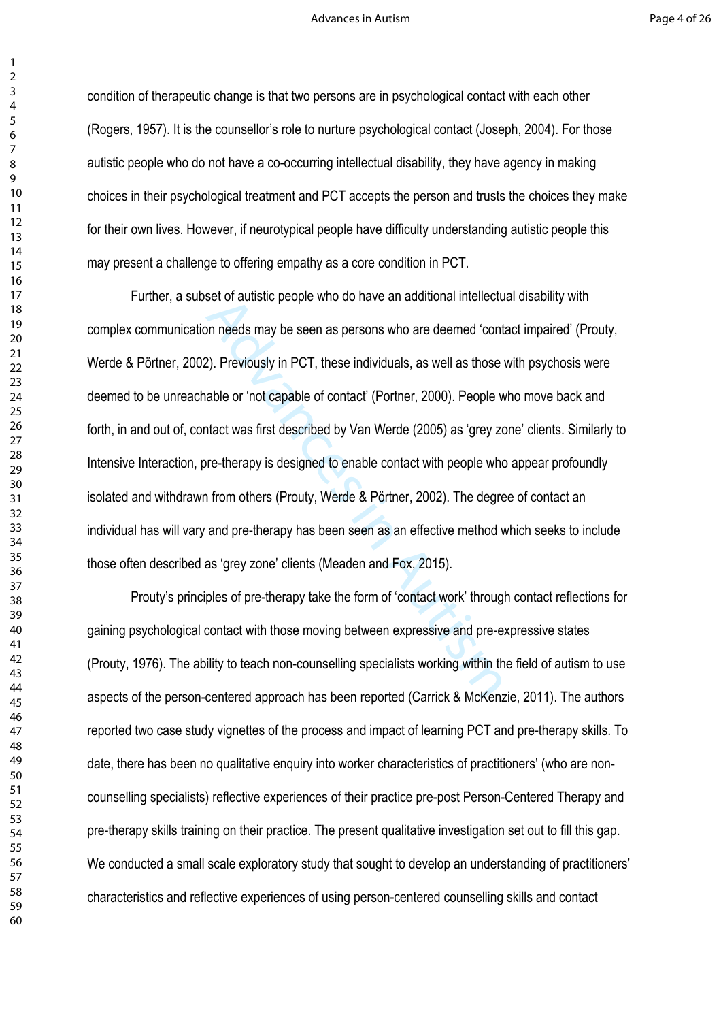condition of therapeutic change is that two persons are in psychological contact with each other (Rogers, 1957). It is the counsellor's role to nurture psychological contact (Joseph, 2004). For those autistic people who do not have a co-occurring intellectual disability, they have agency in making choices in their psychological treatment and PCT accepts the person and trusts the choices they make for their own lives. However, if neurotypical people have difficulty understanding autistic people this may present a challenge to offering empathy as a core condition in PCT.

set or autistic people who do nave an additional intellecture<br>on needs may be seen as persons who are deemed 'cont<br>2). Previously in PCT, these individuals, as well as those value<br>able or 'not capable of contact' (Portner, Further, a subset of autistic people who do have an additional intellectual disability with complex communication needs may be seen as persons who are deemed 'contact impaired' (Prouty, Werde & Pörtner, 2002). Previously in PCT, these individuals, as well as those with psychosis were deemed to be unreachable or 'not capable of contact' (Portner, 2000). People who move back and forth, in and out of, contact was first described by Van Werde (2005) as 'grey zone' clients. Similarly to Intensive Interaction, pre-therapy is designed to enable contact with people who appear profoundly isolated and withdrawn from others (Prouty, Werde & Pörtner, 2002). The degree of contact an individual has will vary and pre-therapy has been seen as an effective method which seeks to include those often described as 'grey zone' clients (Meaden and Fox, 2015).

Prouty's principles of pre-therapy take the form of 'contact work' through contact reflections for gaining psychological contact with those moving between expressive and pre-expressive states (Prouty, 1976). The ability to teach non-counselling specialists working within the field of autism to use aspects of the person-centered approach has been reported (Carrick & McKenzie, 2011). The authors reported two case study vignettes of the process and impact of learning PCT and pre-therapy skills. To date, there has been no qualitative enquiry into worker characteristics of practitioners' (who are noncounselling specialists) reflective experiences of their practice pre-post Person-Centered Therapy and pre-therapy skills training on their practice. The present qualitative investigation set out to fill this gap. We conducted a small scale exploratory study that sought to develop an understanding of practitioners' characteristics and reflective experiences of using person-centered counselling skills and contact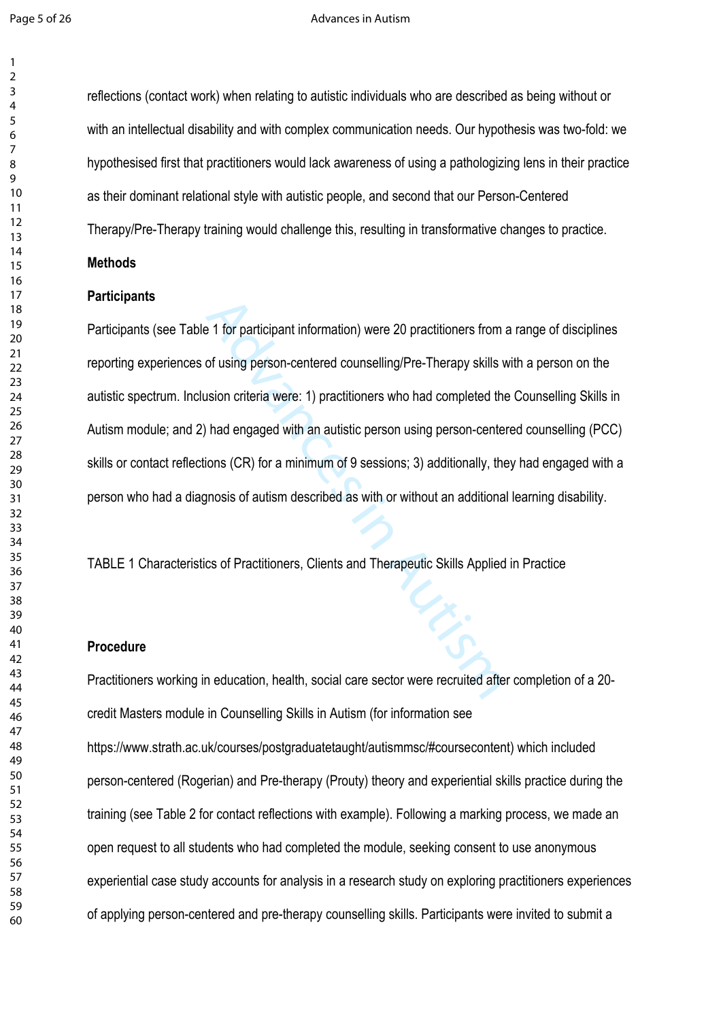#### Page 5 of 26 Advances in Autism

reflections (contact work) when relating to autistic individuals who are described as being without or with an intellectual disability and with complex communication needs. Our hypothesis was two-fold: we hypothesised first that practitioners would lack awareness of using a pathologizing lens in their practice as their dominant relational style with autistic people, and second that our Person-Centered Therapy/Pre-Therapy training would challenge this, resulting in transformative changes to practice.

## **Methods**

### **Participants**

Parameter information) were 20 practitioners from<br>of using person-centered counselling/Pre-Therapy skills v<br>asion criteria were: 1) practitioners who had completed the<br>had engaged with an autistic person using person-cente Participants (see Table 1 for participant information) were 20 practitioners from a range of disciplines reporting experiences of using person-centered counselling/Pre-Therapy skills with a person on the autistic spectrum. Inclusion criteria were: 1) practitioners who had completed the Counselling Skills in Autism module; and 2) had engaged with an autistic person using person-centered counselling (PCC) skills or contact reflections (CR) for a minimum of 9 sessions; 3) additionally, they had engaged with a person who had a diagnosis of autism described as with or without an additional learning disability.

TABLE 1 Characteristics of Practitioners, Clients and Therapeutic Skills Applied in Practice

## **Procedure**

Practitioners working in education, health, social care sector were recruited after completion of a 20 credit Masters module in Counselling Skills in Autism (for information see https://www.strath.ac.uk/courses/postgraduatetaught/autismmsc/#coursecontent) which included person-centered (Rogerian) and Pre-therapy (Prouty) theory and experiential skills practice during the training (see Table 2 for contact reflections with example). Following a marking process, we made an open request to all students who had completed the module, seeking consent to use anonymous experiential case study accounts for analysis in a research study on exploring practitioners experiences of applying person-centered and pre-therapy counselling skills. Participants were invited to submit a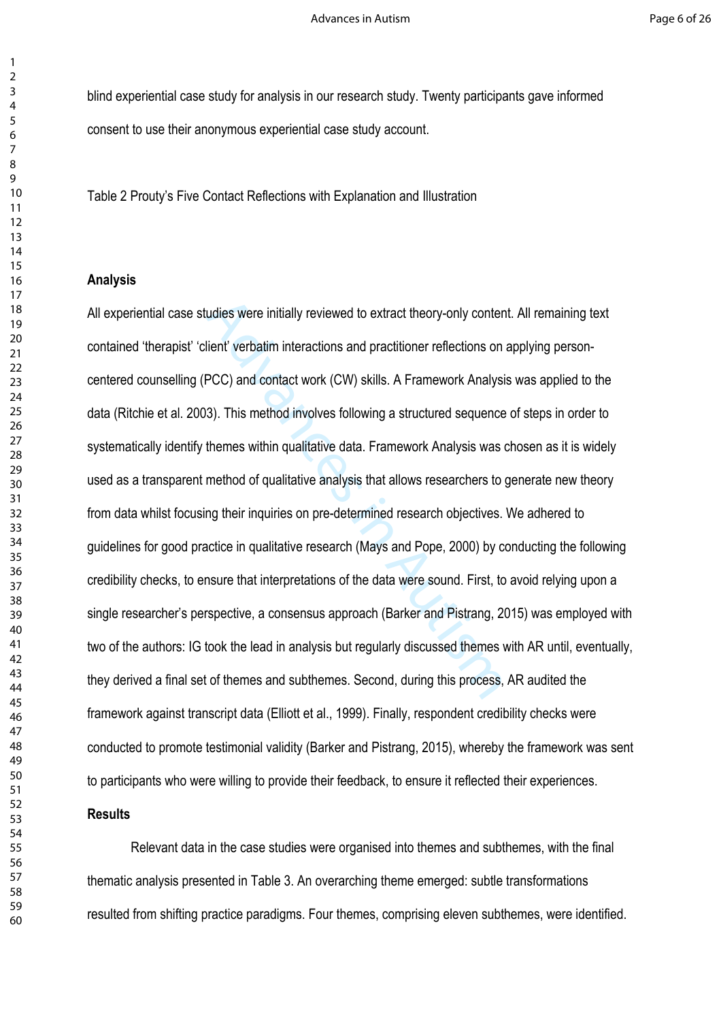blind experiential case study for analysis in our research study. Twenty participants gave informed consent to use their anonymous experiential case study account.

Table 2 Prouty's Five Contact Reflections with Explanation and Illustration

## **Analysis**

udies were initially reviewed to extract theory-only conternational verbation interactions and practitioner reflections on PCC) and contact work (CW) skills. A Framework Analysi 3). This method involves following a structu All experiential case studies were initially reviewed to extract theory-only content. All remaining text contained 'therapist' 'client' verbatim interactions and practitioner reflections on applying personcentered counselling (PCC) and contact work (CW) skills. A Framework Analysis was applied to the data (Ritchie et al. 2003). This method involves following a structured sequence of steps in order to systematically identify themes within qualitative data. Framework Analysis was chosen as it is widely used as a transparent method of qualitative analysis that allows researchers to generate new theory from data whilst focusing their inquiries on pre-determined research objectives. We adhered to guidelines for good practice in qualitative research (Mays and Pope, 2000) by conducting the following credibility checks, to ensure that interpretations of the data were sound. First, to avoid relying upon a single researcher's perspective, a consensus approach (Barker and Pistrang, 2015) was employed with two of the authors: IG took the lead in analysis but regularly discussed themes with AR until, eventually, they derived a final set of themes and subthemes. Second, during this process, AR audited the framework against transcript data (Elliott et al., 1999). Finally, respondent credibility checks were conducted to promote testimonial validity (Barker and Pistrang, 2015), whereby the framework was sent to participants who were willing to provide their feedback, to ensure it reflected their experiences.

# **Results**

Relevant data in the case studies were organised into themes and subthemes, with the final thematic analysis presented in Table 3. An overarching theme emerged: subtle transformations resulted from shifting practice paradigms. Four themes, comprising eleven subthemes, were identified.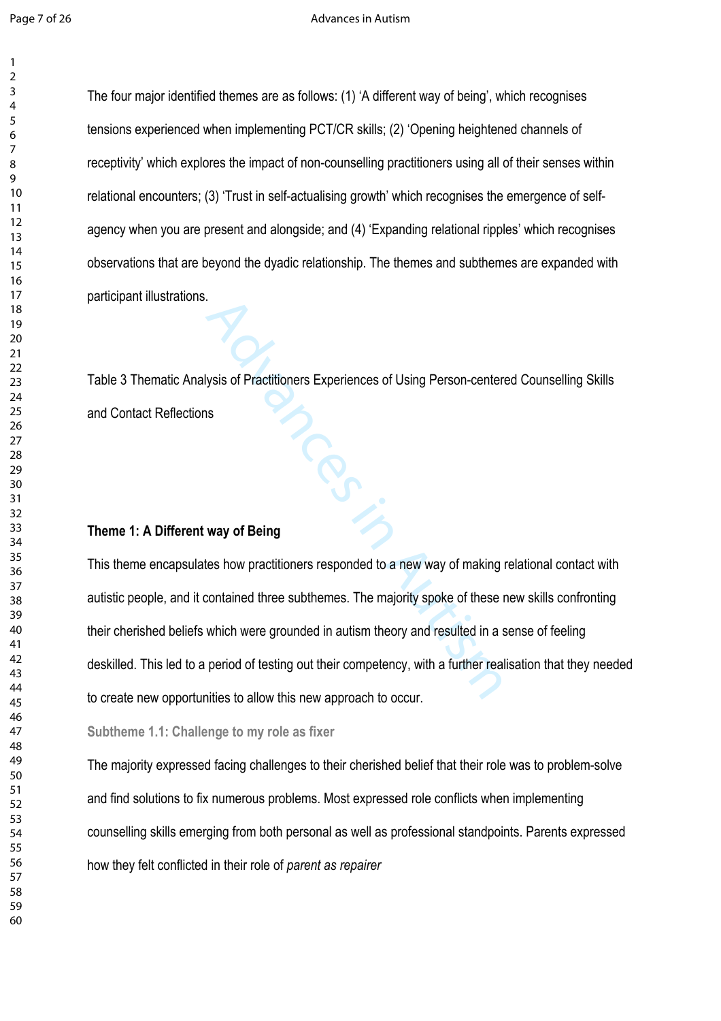#### Page 7 of 26 Advances in Autism

The four major identified themes are as follows: (1) 'A different way of being', which recognises tensions experienced when implementing PCT/CR skills; (2) 'Opening heightened channels of receptivity' which explores the impact of non-counselling practitioners using all of their senses within relational encounters; (3) 'Trust in self-actualising growth' which recognises the emergence of selfagency when you are present and alongside; and (4) 'Expanding relational ripples' which recognises observations that are beyond the dyadic relationship. The themes and subthemes are expanded with participant illustrations.

Advis Table 3 Thematic Analysis of Practitioners Experiences of Using Person-centered Counselling Skills and Contact Reflections

## **Theme 1: A Different way of Being**

This theme encapsulates how practitioners responded to a new way of making relational contact with autistic people, and it contained three subthemes. The majority spoke of these new skills confronting their cherished beliefs which were grounded in autism theory and resulted in a sense of feeling deskilled. This led to a period of testing out their competency, with a further realisation that they needed to create new opportunities to allow this new approach to occur.

**Subtheme 1.1: Challenge to my role as fixer** 

The majority expressed facing challenges to their cherished belief that their role was to problem-solve and find solutions to fix numerous problems. Most expressed role conflicts when implementing counselling skills emerging from both personal as well as professional standpoints. Parents expressed how they felt conflicted in their role of *parent as repairer*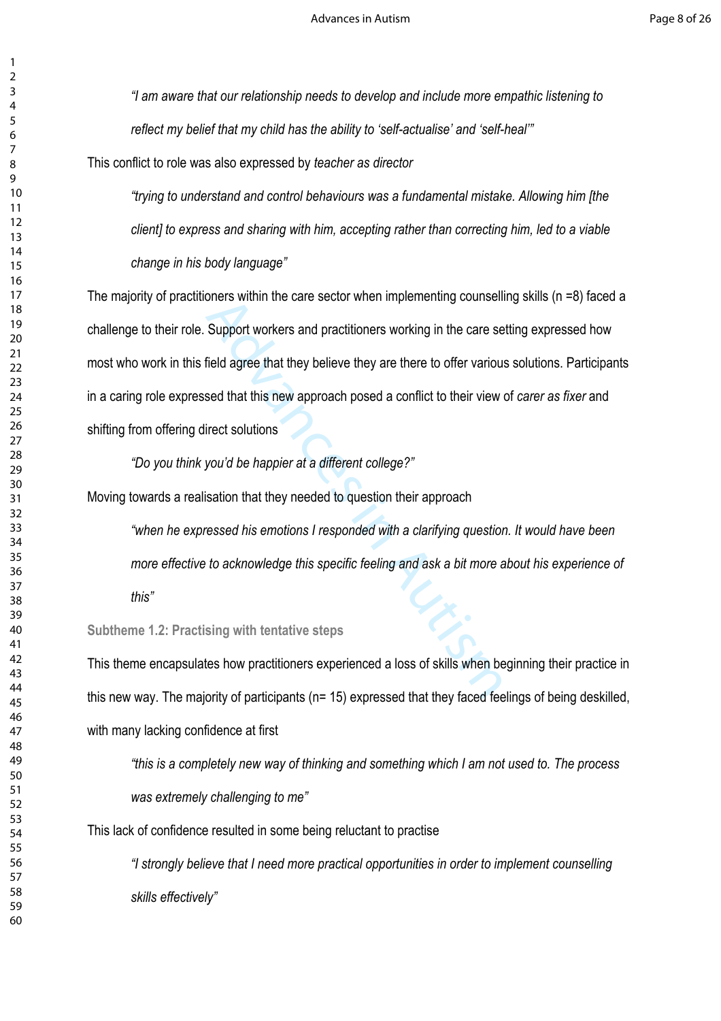*"I am aware that our relationship needs to develop and include more empathic listening to reflect my belief that my child has the ability to 'self-actualise' and 'self-heal'"*

This conflict to role was also expressed by *teacher as director*

*"trying to understand and control behaviours was a fundamental mistake. Allowing him [the client] to express and sharing with him, accepting rather than correcting him, led to a viable change in his body language"*

oners within the care sector when implementing counselli<br>Support workers and practitioners working in the care se<br>field agree that they believe they are there to offer various<br>sed that this new approach posed a conflict to The majority of practitioners within the care sector when implementing counselling skills (n =8) faced a challenge to their role. Support workers and practitioners working in the care setting expressed how most who work in this field agree that they believe they are there to offer various solutions. Participants in a caring role expressed that this new approach posed a conflict to their view of *carer as fixer* and shifting from offering direct solutions

*"Do you think you'd be happier at a different college?"*

Moving towards a realisation that they needed to question their approach

*"when he expressed his emotions I responded with a clarifying question. It would have been more effective to acknowledge this specific feeling and ask a bit more about his experience of this"*

**Subtheme 1.2: Practising with tentative steps** 

This theme encapsulates how practitioners experienced a loss of skills when beginning their practice in this new way. The majority of participants (n= 15) expressed that they faced feelings of being deskilled, with many lacking confidence at first

*"this is a completely new way of thinking and something which I am not used to. The process was extremely challenging to me"*

This lack of confidence resulted in some being reluctant to practise

*"I strongly believe that I need more practical opportunities in order to implement counselling skills effectively"*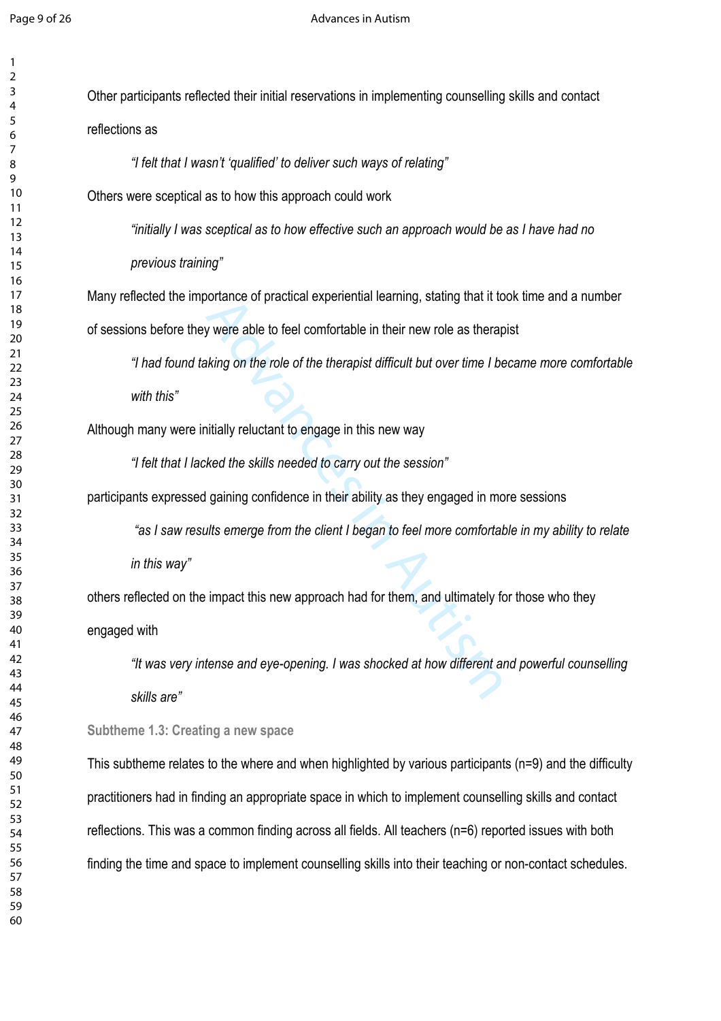$\mathbf{1}$  $\overline{2}$  $\overline{3}$  $\overline{\mathbf{4}}$  $\overline{6}$  $\overline{7}$  $\bf 8$  $\mathsf 9$ 

# Page 9 of 26 Advances in Autism

| Other participants reflected their initial reservations in implementing counselling skills and contact       |
|--------------------------------------------------------------------------------------------------------------|
| reflections as                                                                                               |
| "I felt that I wasn't 'qualified' to deliver such ways of relating"                                          |
| Others were sceptical as to how this approach could work                                                     |
| "initially I was sceptical as to how effective such an approach would be as I have had no                    |
| previous training"                                                                                           |
| Many reflected the importance of practical experiential learning, stating that it took time and a number     |
| of sessions before they were able to feel comfortable in their new role as therapist                         |
| "I had found taking on the role of the therapist difficult but over time I became more comfortable           |
| with this"                                                                                                   |
| Although many were initially reluctant to engage in this new way                                             |
| "I felt that I lacked the skills needed to carry out the session"                                            |
| participants expressed gaining confidence in their ability as they engaged in more sessions                  |
| "as I saw results emerge from the client I began to feel more comfortable in my ability to relate            |
| in this way"                                                                                                 |
| others reflected on the impact this new approach had for them, and ultimately for those who they             |
| engaged with                                                                                                 |
| "It was very intense and eye-opening. I was shocked at how different and powerful counselling                |
| skills are"                                                                                                  |
| Subtheme 1.3: Creating a new space                                                                           |
| This subtheme relates to the where and when highlighted by various participants ( $n=9$ ) and the difficulty |
| practitioners had in finding an appropriate space in which to implement counselling skills and contact       |
| reflections. This was a common finding across all fields. All teachers (n=6) reported issues with both       |
| finding the time and space to implement counselling skills into their teaching or non-contact schedules.     |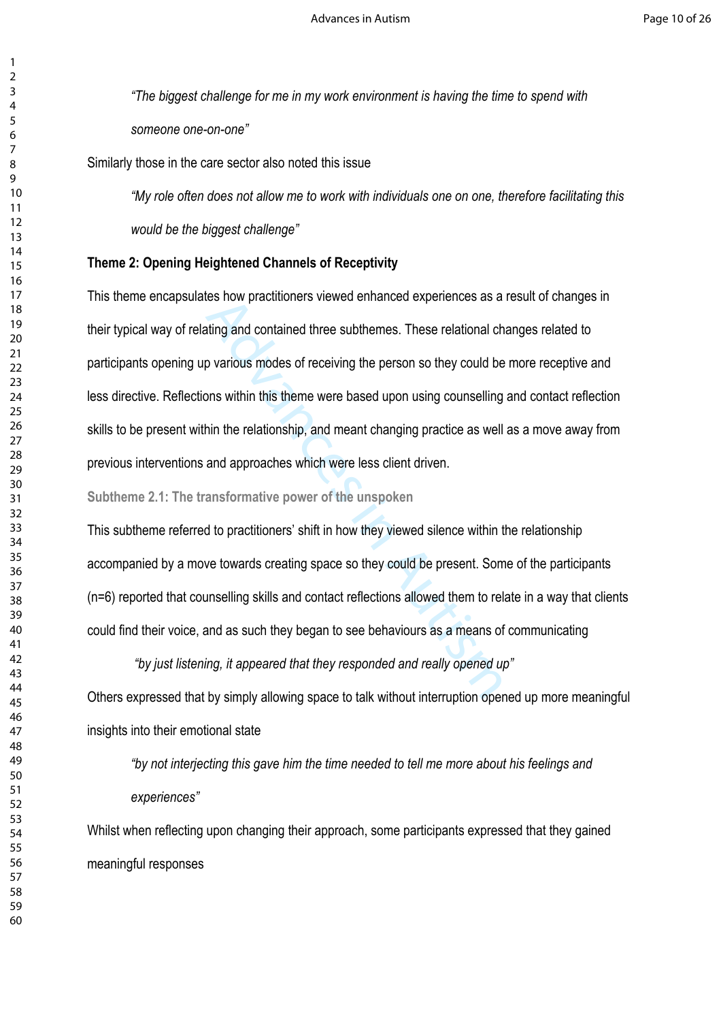*"The biggest challenge for me in my work environment is having the time to spend with someone one-on-one"* 

Similarly those in the care sector also noted this issue

*"My role often does not allow me to work with individuals one on one, therefore facilitating this would be the biggest challenge"*

# **Theme 2: Opening Heightened Channels of Receptivity**

res now practitioners viewed ennanced experiences as a<br>ting and contained three subthemes. These relational ch<br>p various modes of receiving the person so they could be<br>ons within this theme were based upon using counsellin This theme encapsulates how practitioners viewed enhanced experiences as a result of changes in their typical way of relating and contained three subthemes. These relational changes related to participants opening up various modes of receiving the person so they could be more receptive and less directive. Reflections within this theme were based upon using counselling and contact reflection skills to be present within the relationship, and meant changing practice as well as a move away from previous interventions and approaches which were less client driven.

**Subtheme 2.1: The transformative power of the unspoken** 

This subtheme referred to practitioners' shift in how they viewed silence within the relationship accompanied by a move towards creating space so they could be present. Some of the participants (n=6) reported that counselling skills and contact reflections allowed them to relate in a way that clients could find their voice, and as such they began to see behaviours as a means of communicating

 *"by just listening, it appeared that they responded and really opened up"* Others expressed that by simply allowing space to talk without interruption opened up more meaningful insights into their emotional state

*"by not interjecting this gave him the time needed to tell me more about his feelings and experiences"* 

Whilst when reflecting upon changing their approach, some participants expressed that they gained meaningful responses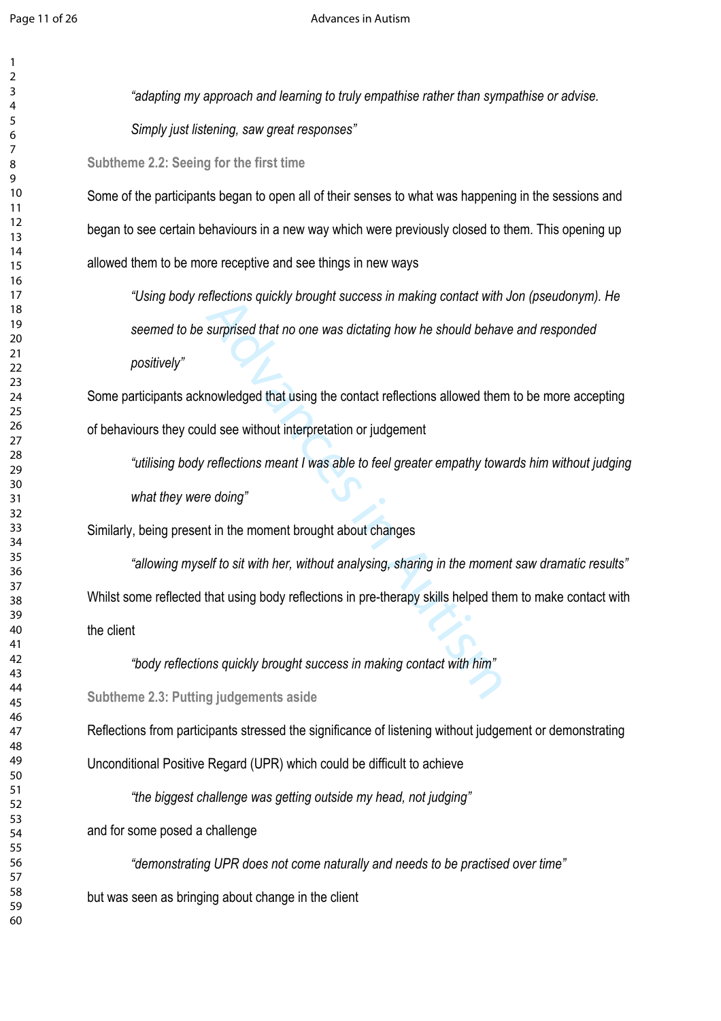$\mathbf{1}$  $\overline{2}$ 

*"adapting my approach and learning to truly empathise rather than sympathise or advise.* 

*Simply just listening, saw great responses"*

**Subtheme 2.2: Seeing for the first time** 

Some of the participants began to open all of their senses to what was happening in the sessions and began to see certain behaviours in a new way which were previously closed to them. This opening up allowed them to be more receptive and see things in new ways

*"Using body reflections quickly brought success in making contact with Jon (pseudonym). He seemed to be surprised that no one was dictating how he should behave and responded* 

*positively"*

Some participants acknowledged that using the contact reflections allowed them to be more accepting of behaviours they could see without interpretation or judgement

*"utilising body reflections meant I was able to feel greater empathy towards him without judging what they were doing"* 

Similarly, being present in the moment brought about changes

rections quickly prought success in making contact with<br>surprised that no one was dictating how he should behav<br>nowledged that using the contact reflections allowed then<br>ild see without interpretation or judgement<br>reflecti *"allowing myself to sit with her, without analysing, sharing in the moment saw dramatic results"* Whilst some reflected that using body reflections in pre-therapy skills helped them to make contact with the client

*"body reflections quickly brought success in making contact with him"*

**Subtheme 2.3: Putting judgements aside** 

Reflections from participants stressed the significance of listening without judgement or demonstrating

Unconditional Positive Regard (UPR) which could be difficult to achieve

*"the biggest challenge was getting outside my head, not judging"*

and for some posed a challenge

*"demonstrating UPR does not come naturally and needs to be practised over time"*

but was seen as bringing about change in the client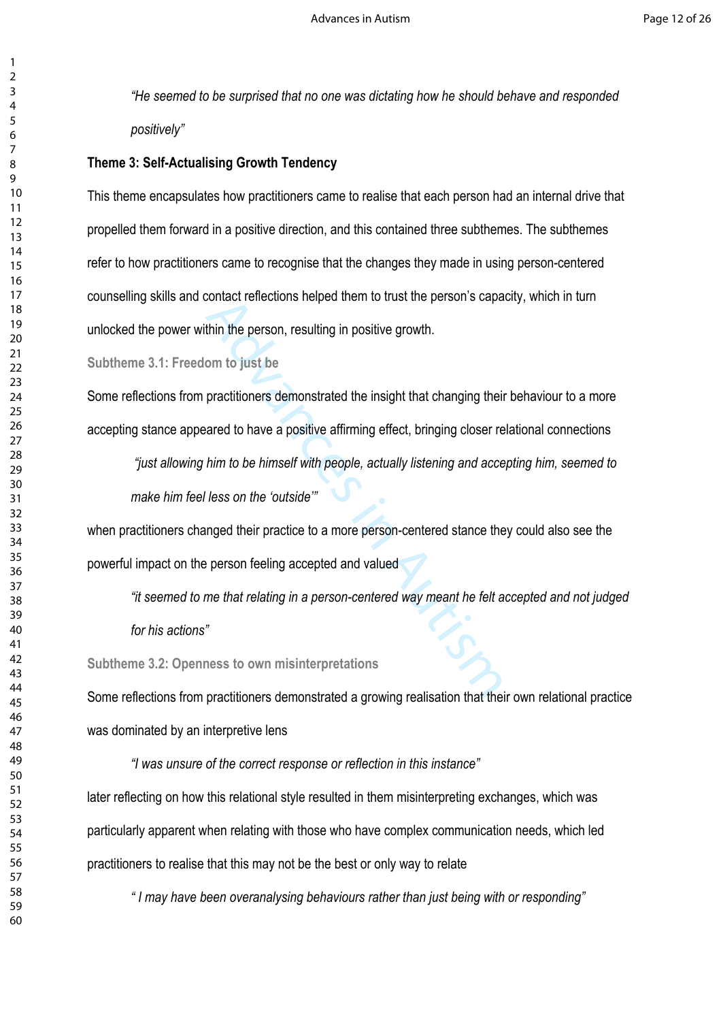*"He seemed to be surprised that no one was dictating how he should behave and responded positively"*

## **Theme 3: Self-Actualising Growth Tendency**

This theme encapsulates how practitioners came to realise that each person had an internal drive that propelled them forward in a positive direction, and this contained three subthemes. The subthemes refer to how practitioners came to recognise that the changes they made in using person-centered counselling skills and contact reflections helped them to trust the person's capacity, which in turn unlocked the power within the person, resulting in positive growth.

**Subtheme 3.1: Freedom to just be** 

Some reflections from practitioners demonstrated the insight that changing their behaviour to a more accepting stance appeared to have a positive affirming effect, bringing closer relational connections

contact renections neiped them to trust the person's capa-<br>thin the person, resulting in positive growth.<br>
om to just be<br>
practitioners demonstrated the insight that changing their<br>
ared to have a positive affirming effect *"just allowing him to be himself with people, actually listening and accepting him, seemed to make him feel less on the 'outside'"*

when practitioners changed their practice to a more person-centered stance they could also see the powerful impact on the person feeling accepted and valued

*"it seemed to me that relating in a person-centered way meant he felt accepted and not judged for his actions"*

**Subtheme 3.2: Openness to own misinterpretations**

Some reflections from practitioners demonstrated a growing realisation that their own relational practice was dominated by an interpretive lens

*"I was unsure of the correct response or reflection in this instance"*  later reflecting on how this relational style resulted in them misinterpreting exchanges, which was particularly apparent when relating with those who have complex communication needs, which led practitioners to realise that this may not be the best or only way to relate

*" I may have been overanalysing behaviours rather than just being with or responding"*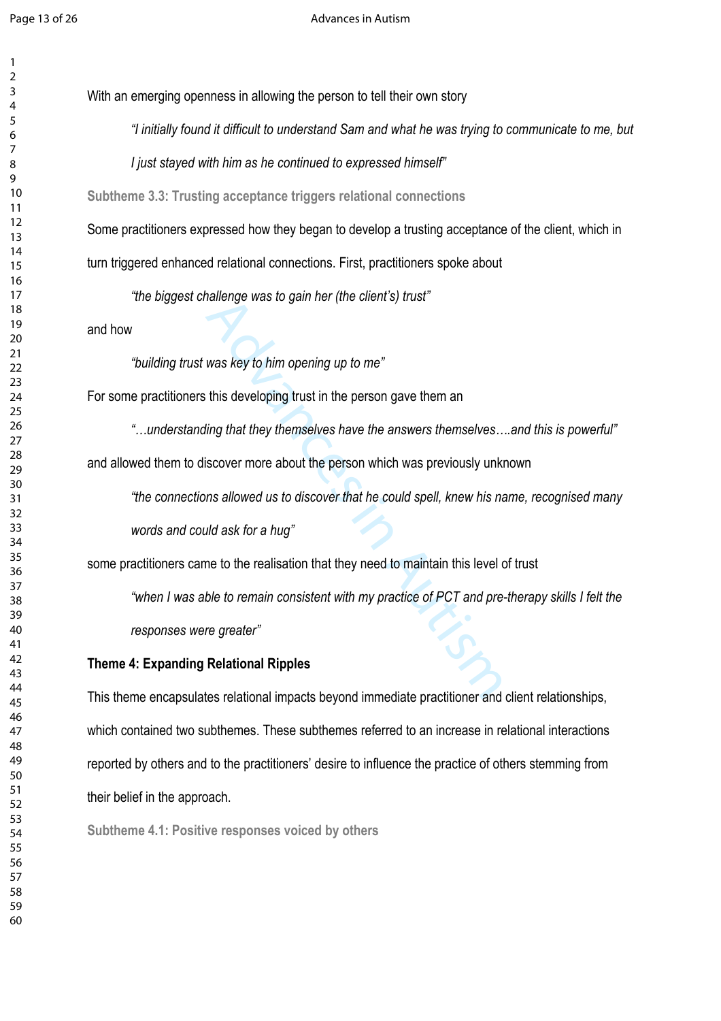#### Page 13 of 26 Advances in Autism

| 1                                |
|----------------------------------|
| ,                                |
| 3                                |
| 4                                |
| 5                                |
| 6                                |
|                                  |
| 8                                |
| )<br>d                           |
|                                  |
| 10                               |
| 1<br>1                           |
| 1.<br>フ                          |
| $\overline{1}$<br>3              |
| $\overline{14}$                  |
| 15                               |
| 16                               |
| 1                                |
| 18                               |
| 19                               |
| 20                               |
| $\overline{21}$                  |
| $\overline{2}$<br>2              |
| $\overline{2}$<br>ξ              |
| $\frac{24}{3}$                   |
|                                  |
| 25                               |
| $\frac{26}{5}$                   |
| $\frac{27}{2}$                   |
| $\overline{28}$                  |
| 29                               |
| 30                               |
| $\overline{\textbf{3}}$          |
| ś<br>2                           |
| Ŝ.<br>ξ                          |
| ş.<br>4                          |
| 35                               |
|                                  |
| 36                               |
| 37                               |
| 88                               |
| 39                               |
| 40                               |
| 41                               |
| $\overline{4}$<br>$\overline{c}$ |
| 43                               |
| 44                               |
| 45                               |
| 46                               |
| 47                               |
| 48                               |
|                                  |
| 49                               |
| 50                               |
| 51                               |
| 5.<br>$\overline{c}$             |
| 5.<br>ξ                          |
| 54                               |
| 55                               |
| 56                               |
| 57                               |
| 58                               |
| 59                               |
|                                  |

With an emerging openness in allowing the person to tell their own story

*"I initially found it difficult to understand Sam and what he was trying to communicate to me, but* 

*I just stayed with him as he continued to expressed himself"*

**Subtheme 3.3: Trusting acceptance triggers relational connections** 

Some practitioners expressed how they began to develop a trusting acceptance of the client, which in

turn triggered enhanced relational connections. First, practitioners spoke about

*"the biggest challenge was to gain her (the client's) trust"*

and how

*"building trust was key to him opening up to me"*

For some practitioners this developing trust in the person gave them an

*"…understanding that they themselves have the answers themselves….and this is powerful"*

and allowed them to discover more about the person which was previously unknown

*"the connections allowed us to discover that he could spell, knew his name, recognised many* 

*words and could ask for a hug"*

some practitioners came to the realisation that they need to maintain this level of trust

railenge was to gain ner (the client s) trust<br>was key to him opening up to me"<br>this developing trust in the person gave them an<br>ling that they themselves have the answers themselves...<br>iscover more about the person which w *"when I was able to remain consistent with my practice of PCT and pre-therapy skills I felt the responses were greater"*

## **Theme 4: Expanding Relational Ripples**

This theme encapsulates relational impacts beyond immediate practitioner and client relationships, which contained two subthemes. These subthemes referred to an increase in relational interactions reported by others and to the practitioners' desire to influence the practice of others stemming from their belief in the approach.

**Subtheme 4.1: Positive responses voiced by others**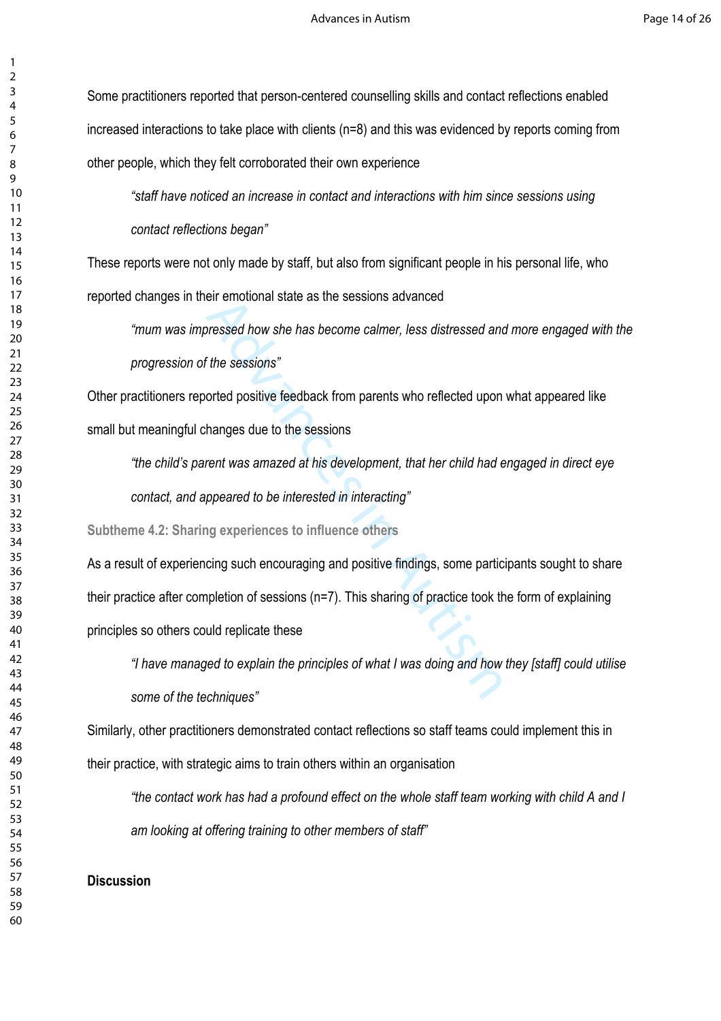Some practitioners reported that person-centered counselling skills and contact reflections enabled increased interactions to take place with clients (n=8) and this was evidenced by reports coming from other people, which they felt corroborated their own experience

*"staff have noticed an increase in contact and interactions with him since sessions using contact reflections began"*

These reports were not only made by staff, but also from significant people in his personal life, who reported changes in their emotional state as the sessions advanced

*"mum was impressed how she has become calmer, less distressed and more engaged with the progression of the sessions"*

Other practitioners reported positive feedback from parents who reflected upon what appeared like small but meaningful changes due to the sessions

*"the child's parent was amazed at his development, that her child had engaged in direct eye contact, and appeared to be interested in interacting"*

**Subtheme 4.2: Sharing experiences to influence others** 

eir emotional state as the sessions advanced<br>pressed how she has become calmer, less distressed and<br>f the sessions"<br>orted positive feedback from parents who reflected upon<br>hanges due to the sessions<br>rent was amazed at his As a result of experiencing such encouraging and positive findings, some participants sought to share their practice after completion of sessions (n=7). This sharing of practice took the form of explaining principles so others could replicate these

*"I have managed to explain the principles of what I was doing and how they [staff] could utilise some of the techniques"*

Similarly, other practitioners demonstrated contact reflections so staff teams could implement this in their practice, with strategic aims to train others within an organisation

*"the contact work has had a profound effect on the whole staff team working with child A and I am looking at offering training to other members of staff"*

## **Discussion**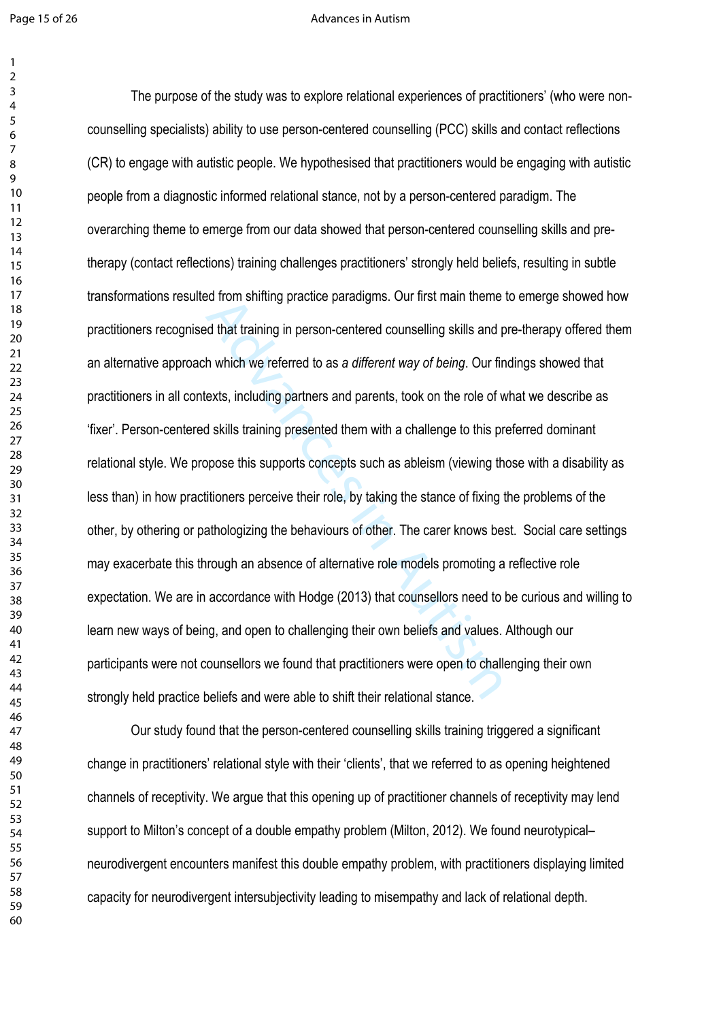$\mathbf{1}$  $\overline{2}$ 

#### Page 15 of 26 Advances in Autism

Fraction of shift their relations were open to challengies and performations where the relationships that training in person-centered counselling skills and p<br>h which we referred to as a different way of being. Our fir<br>ext The purpose of the study was to explore relational experiences of practitioners' (who were noncounselling specialists) ability to use person-centered counselling (PCC) skills and contact reflections (CR) to engage with autistic people. We hypothesised that practitioners would be engaging with autistic people from a diagnostic informed relational stance, not by a person-centered paradigm. The overarching theme to emerge from our data showed that person-centered counselling skills and pretherapy (contact reflections) training challenges practitioners' strongly held beliefs, resulting in subtle transformations resulted from shifting practice paradigms. Our first main theme to emerge showed how practitioners recognised that training in person-centered counselling skills and pre-therapy offered them an alternative approach which we referred to as *a different way of being*. Our findings showed that practitioners in all contexts, including partners and parents, took on the role of what we describe as 'fixer'. Person-centered skills training presented them with a challenge to this preferred dominant relational style. We propose this supports concepts such as ableism (viewing those with a disability as less than) in how practitioners perceive their role, by taking the stance of fixing the problems of the other, by othering or pathologizing the behaviours of other. The carer knows best. Social care settings may exacerbate this through an absence of alternative role models promoting a reflective role expectation. We are in accordance with Hodge (2013) that counsellors need to be curious and willing to learn new ways of being, and open to challenging their own beliefs and values. Although our participants were not counsellors we found that practitioners were open to challenging their own strongly held practice beliefs and were able to shift their relational stance.

Our study found that the person-centered counselling skills training triggered a significant change in practitioners' relational style with their 'clients', that we referred to as opening heightened channels of receptivity. We argue that this opening up of practitioner channels of receptivity may lend support to Milton's concept of a double empathy problem (Milton, 2012). We found neurotypical– neurodivergent encounters manifest this double empathy problem, with practitioners displaying limited capacity for neurodivergent intersubjectivity leading to misempathy and lack of relational depth.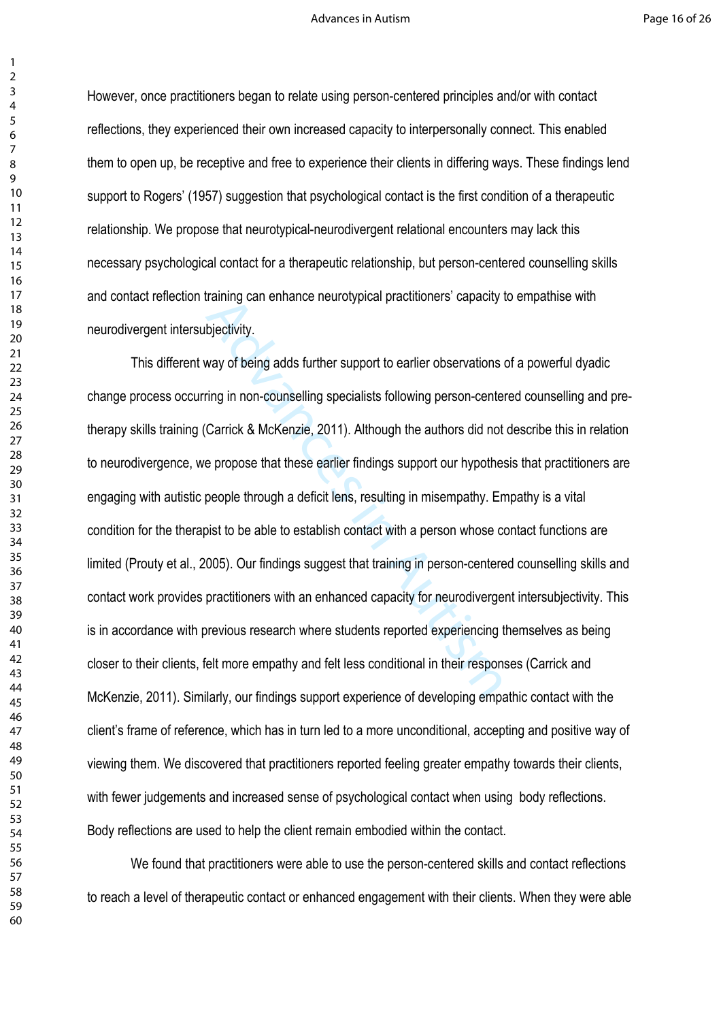However, once practitioners began to relate using person-centered principles and/or with contact reflections, they experienced their own increased capacity to interpersonally connect. This enabled them to open up, be receptive and free to experience their clients in differing ways. These findings lend support to Rogers' (1957) suggestion that psychological contact is the first condition of a therapeutic relationship. We propose that neurotypical-neurodivergent relational encounters may lack this necessary psychological contact for a therapeutic relationship, but person-centered counselling skills and contact reflection training can enhance neurotypical practitioners' capacity to empathise with neurodivergent intersubjectivity.

training can ennance neurotypical practitioners capacity t<br>bjectivity.<br>way of being adds further support to earlier observations of<br>ting in non-counselling specialists following person-center<br>Carrick & McKenzie, 2011). Alt This different way of being adds further support to earlier observations of a powerful dyadic change process occurring in non-counselling specialists following person-centered counselling and pretherapy skills training (Carrick & McKenzie, 2011). Although the authors did not describe this in relation to neurodivergence, we propose that these earlier findings support our hypothesis that practitioners are engaging with autistic people through a deficit lens, resulting in misempathy. Empathy is a vital condition for the therapist to be able to establish contact with a person whose contact functions are limited (Prouty et al., 2005). Our findings suggest that training in person-centered counselling skills and contact work provides practitioners with an enhanced capacity for neurodivergent intersubjectivity. This is in accordance with previous research where students reported experiencing themselves as being closer to their clients, felt more empathy and felt less conditional in their responses (Carrick and McKenzie, 2011). Similarly, our findings support experience of developing empathic contact with the client's frame of reference, which has in turn led to a more unconditional, accepting and positive way of viewing them. We discovered that practitioners reported feeling greater empathy towards their clients, with fewer judgements and increased sense of psychological contact when using body reflections. Body reflections are used to help the client remain embodied within the contact.

We found that practitioners were able to use the person-centered skills and contact reflections to reach a level of therapeutic contact or enhanced engagement with their clients. When they were able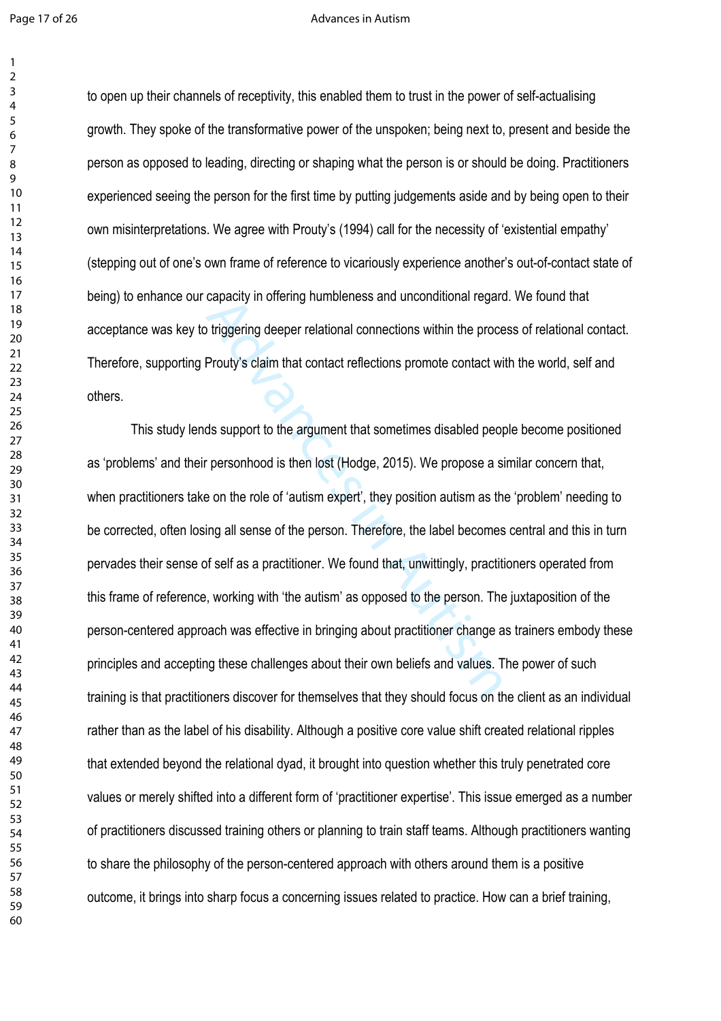#### Page 17 of 26 Advances in Autism

to open up their channels of receptivity, this enabled them to trust in the power of self-actualising growth. They spoke of the transformative power of the unspoken; being next to, present and beside the person as opposed to leading, directing or shaping what the person is or should be doing. Practitioners experienced seeing the person for the first time by putting judgements aside and by being open to their own misinterpretations. We agree with Prouty's (1994) call for the necessity of 'existential empathy' (stepping out of one's own frame of reference to vicariously experience another's out-of-contact state of being) to enhance our capacity in offering humbleness and unconditional regard. We found that acceptance was key to triggering deeper relational connections within the process of relational contact. Therefore, supporting Prouty's claim that contact reflections promote contact with the world, self and others.

capacity in oriening numbieness and unconditional regard<br>triggering deeper relational connections within the proce<br>Prouty's claim that contact reflections promote contact wit<br>ds support to the argument that sometimes disab This study lends support to the argument that sometimes disabled people become positioned as 'problems' and their personhood is then lost (Hodge, 2015). We propose a similar concern that, when practitioners take on the role of 'autism expert', they position autism as the 'problem' needing to be corrected, often losing all sense of the person. Therefore, the label becomes central and this in turn pervades their sense of self as a practitioner. We found that, unwittingly, practitioners operated from this frame of reference, working with 'the autism' as opposed to the person. The juxtaposition of the person-centered approach was effective in bringing about practitioner change as trainers embody these principles and accepting these challenges about their own beliefs and values. The power of such training is that practitioners discover for themselves that they should focus on the client as an individual rather than as the label of his disability. Although a positive core value shift created relational ripples that extended beyond the relational dyad, it brought into question whether this truly penetrated core values or merely shifted into a different form of 'practitioner expertise'. This issue emerged as a number of practitioners discussed training others or planning to train staff teams. Although practitioners wanting to share the philosophy of the person-centered approach with others around them is a positive outcome, it brings into sharp focus a concerning issues related to practice. How can a brief training,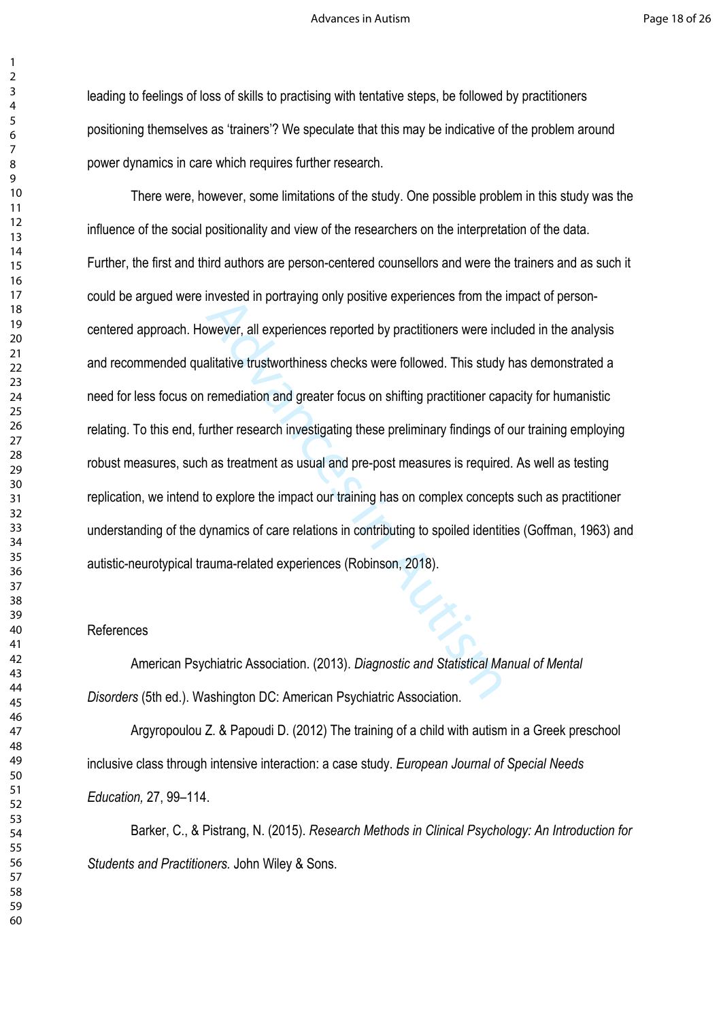leading to feelings of loss of skills to practising with tentative steps, be followed by practitioners positioning themselves as 'trainers'? We speculate that this may be indicative of the problem around power dynamics in care which requires further research.

Invested in portraying only positive experiences from the<br>swever, all experiences reported by practitioners were inc<br>alitative trustworthiness checks were followed. This study<br>remediation and greater focus on shifting prac There were, however, some limitations of the study. One possible problem in this study was the influence of the social positionality and view of the researchers on the interpretation of the data. Further, the first and third authors are person-centered counsellors and were the trainers and as such it could be argued were invested in portraying only positive experiences from the impact of personcentered approach. However, all experiences reported by practitioners were included in the analysis and recommended qualitative trustworthiness checks were followed. This study has demonstrated a need for less focus on remediation and greater focus on shifting practitioner capacity for humanistic relating. To this end, further research investigating these preliminary findings of our training employing robust measures, such as treatment as usual and pre-post measures is required. As well as testing replication, we intend to explore the impact our training has on complex concepts such as practitioner understanding of the dynamics of care relations in contributing to spoiled identities (Goffman, 1963) and autistic-neurotypical trauma-related experiences (Robinson, 2018).

### References

American Psychiatric Association. (2013). *Diagnostic and Statistical Manual of Mental Disorders* (5th ed.). Washington DC: American Psychiatric Association.

Argyropoulou Z. & Papoudi D. (2012) The training of a child with autism in a Greek preschool inclusive class through intensive interaction: a case study. *European Journal of Special Needs Education,* 27, 99–114.

Barker, C., & Pistrang, N. (2015). *Research Methods in Clinical Psychology: An Introduction for Students and Practitioners.* John Wiley & Sons.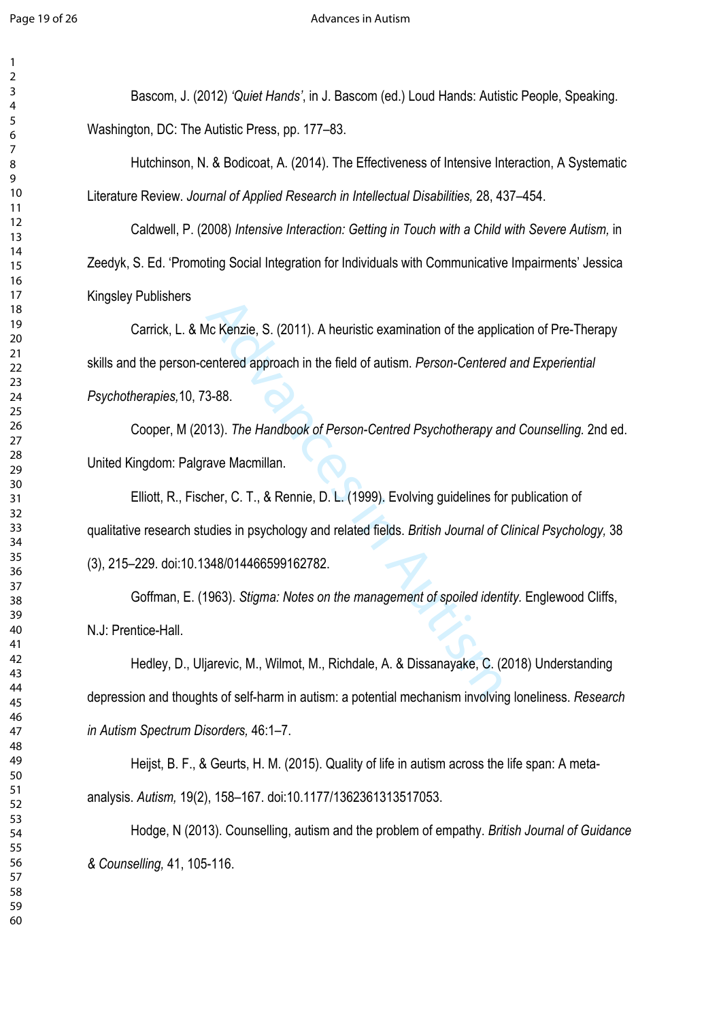$\mathbf{1}$  $\overline{2}$ 

Bascom, J. (2012) *'Quiet Hands'*, in J. Bascom (ed.) Loud Hands: Autistic People, Speaking. Washington, DC: The Autistic Press, pp. 177–83.

Hutchinson, N. & Bodicoat, A. (2014). The Effectiveness of Intensive Interaction, A Systematic Literature Review. *Journal of Applied Research in Intellectual Disabilities,* 28, 437–454.

Caldwell, P. (2008) *Intensive Interaction: Getting in Touch with a Child with Severe Autism,* in Zeedyk, S. Ed. 'Promoting Social Integration for Individuals with Communicative Impairments' Jessica Kingsley Publishers

Carrick, L. & Mc Kenzie, S. (2011). A heuristic examination of the application of Pre-Therapy skills and the person-centered approach in the field of autism. *Person-Centered and Experiential Psychotherapies,*10, 73-88.

Cooper, M (2013). *The Handbook of Person-Centred Psychotherapy and Counselling.* 2nd ed. United Kingdom: Palgrave Macmillan.

Ac Kenzie, S. (2011). A heuristic examination of the applicentered approach in the field of autism. *Person-Centered*<br>3-88.<br>3-88.<br>113). *The Handbook of Person-Centred Psychotherapy arave Macmillan.*<br>ther, C. T., & Rennie, Elliott, R., Fischer, C. T., & Rennie, D. L. (1999). Evolving guidelines for publication of qualitative research studies in psychology and related fields. *British Journal of Clinical Psychology,* 38 (3), 215–229. doi:10.1348/014466599162782.

Goffman, E. (1963). *Stigma: Notes on the management of spoiled identity.* Englewood Cliffs, N.J: Prentice-Hall.

Hedley, D., Uljarevic, M., Wilmot, M., Richdale, A. & Dissanayake, C. (2018) Understanding depression and thoughts of self-harm in autism: a potential mechanism involving loneliness. *Research in Autism Spectrum Disorders,* 46:1–7.

Heijst, B. F., & Geurts, H. M. (2015). Quality of life in autism across the life span: A metaanalysis. *Autism,* 19(2), 158–167. doi:10.1177/1362361313517053.

Hodge, N (2013). Counselling, autism and the problem of empathy. *British Journal of Guidance & Counselling,* 41, 105-116.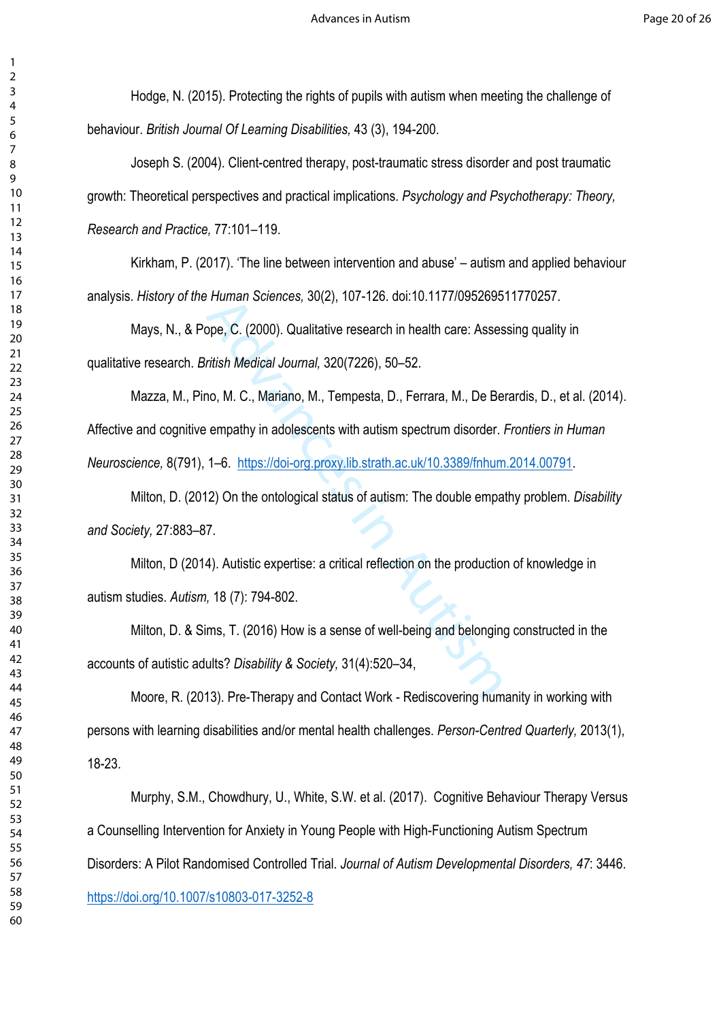Hodge, N. (2015). Protecting the rights of pupils with autism when meeting the challenge of behaviour. *British Journal Of Learning Disabilities,* 43 (3), 194-200.

Joseph S. (2004). Client-centred therapy, post-traumatic stress disorder and post traumatic growth: Theoretical perspectives and practical implications. *Psychology and Psychotherapy: Theory, Research and Practice,* 77:101–119.

Kirkham, P. (2017). 'The line between intervention and abuse' – autism and applied behaviour analysis. *History of the Human Sciences,* 30(2), 107-126. doi:10.1177/095269511770257.

Mays, N., & Pope, C. (2000). Qualitative research in health care: Assessing quality in qualitative research. *British Medical Journal,* 320(7226), 50–52.

Fruman Sciences, 30(2), 107-126. doi:10.1177/0952695<br>
ope, C. (2000). Qualitative research in health care: Asses<br>
ritish Medical Journal, 320(7226), 50–52.<br>
no, M. C., Mariano, M., Tempesta, D., Ferrara, M., De Be<br>
empathy Mazza, M., Pino, M. C., Mariano, M., Tempesta, D., Ferrara, M., De Berardis, D., et al. (2014). Affective and cognitive empathy in adolescents with autism spectrum disorder. *Frontiers in Human Neuroscience,* 8(791), 1–6. [https://doi-org.proxy.lib.strath.ac.uk/10.3389/fnhum.2014.00791](about:blank).

Milton, D. (2012) On the ontological status of autism: The double empathy problem. *Disability and Society,* 27:883–87.

Milton, D (2014). Autistic expertise: a critical reflection on the production of knowledge in autism studies. *Autism,* 18 (7): 794-802.

Milton, D. & Sims, T. (2016) How is a sense of well-being and belonging constructed in the accounts of autistic adults? *Disability & Society,* 31(4):520–34,

Moore, R. (2013). Pre-Therapy and Contact Work - Rediscovering humanity in working with persons with learning disabilities and/or mental health challenges. *Person-Centred Quarterly,* 2013(1), 18-23.

Murphy, S.M., Chowdhury, U., White, S.W. et al. (2017). Cognitive Behaviour Therapy Versus a Counselling Intervention for Anxiety in Young People with High-Functioning Autism Spectrum Disorders: A Pilot Randomised Controlled Trial. *Journal of Autism Developmental Disorders, 47*: 3446. [https://doi.org/10.1007/s10803-017-3252-8](about:blank)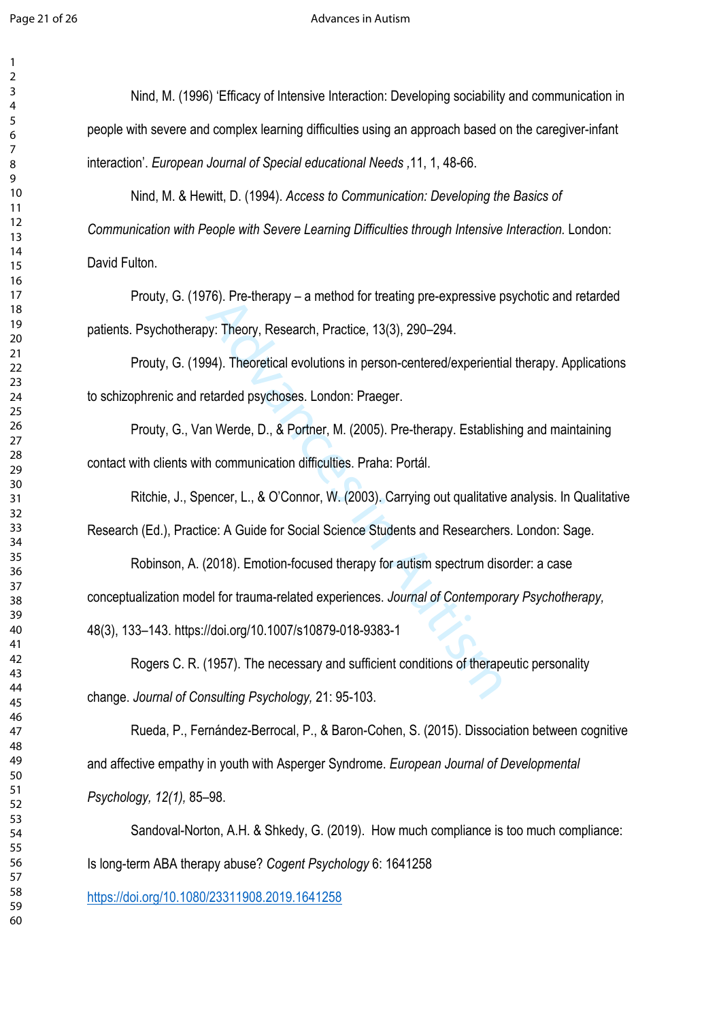$\mathbf{1}$  $\overline{2}$ 

#### Page 21 of 26 Advances in Autism

Nind, M. (1996) 'Efficacy of Intensive Interaction: Developing sociability and communication in people with severe and complex learning difficulties using an approach based on the caregiver-infant interaction'. *European Journal of Special educational Needs ,*11, 1, 48-66.

Nind, M. & Hewitt, D. (1994). *Access to Communication: Developing the Basics of Communication with People with Severe Learning Difficulties through Intensive Interaction.* London: David Fulton.

Prouty, G. (1976). Pre-therapy – a method for treating pre-expressive psychotic and retarded patients. Psychotherapy: Theory, Research, Practice, 13(3), 290–294.

Prouty, G. (1994). Theoretical evolutions in person-centered/experiential therapy. Applications to schizophrenic and retarded psychoses. London: Praeger.

Prouty, G., Van Werde, D., & Portner, M. (2005). Pre-therapy. Establishing and maintaining contact with clients with communication difficulties. Praha: Portál.

Ritchie, J., Spencer, L., & O'Connor, W. (2003). Carrying out qualitative analysis. In Qualitative

Research (Ed.), Practice: A Guide for Social Science Students and Researchers. London: Sage.

76). Pre-merapy – a memod for treating pre-expressive p<br>by: Theory, Research, Practice, 13(3), 290–294.<br>94). Theoretical evolutions in person-centered/experientia<br>etarded psychoses. London: Praeger.<br>n Werde, D., & Portner, Robinson, A. (2018). Emotion-focused therapy for autism spectrum disorder: a case conceptualization model for trauma-related experiences. *Journal of Contemporary Psychotherapy,* 48(3), 133–143. https://doi.org/10.1007/s10879-018-9383-1

Rogers C. R. (1957). The necessary and sufficient conditions of therapeutic personality change. *Journal of Consulting Psychology,* 21: 95-103.

Rueda, P., Fernández-Berrocal, P., & Baron-Cohen, S. (2015). Dissociation between cognitive and affective empathy in youth with Asperger Syndrome. *European Journal of Developmental Psychology, 12(1),* 85–98.

Sandoval-Norton, A.H. & Shkedy, G. (2019). How much compliance is too much compliance: Is long-term ABA therapy abuse? *Cogent Psychology* 6: 1641258

[https://doi.org/10.1080/23311908.2019.1641258](about:blank)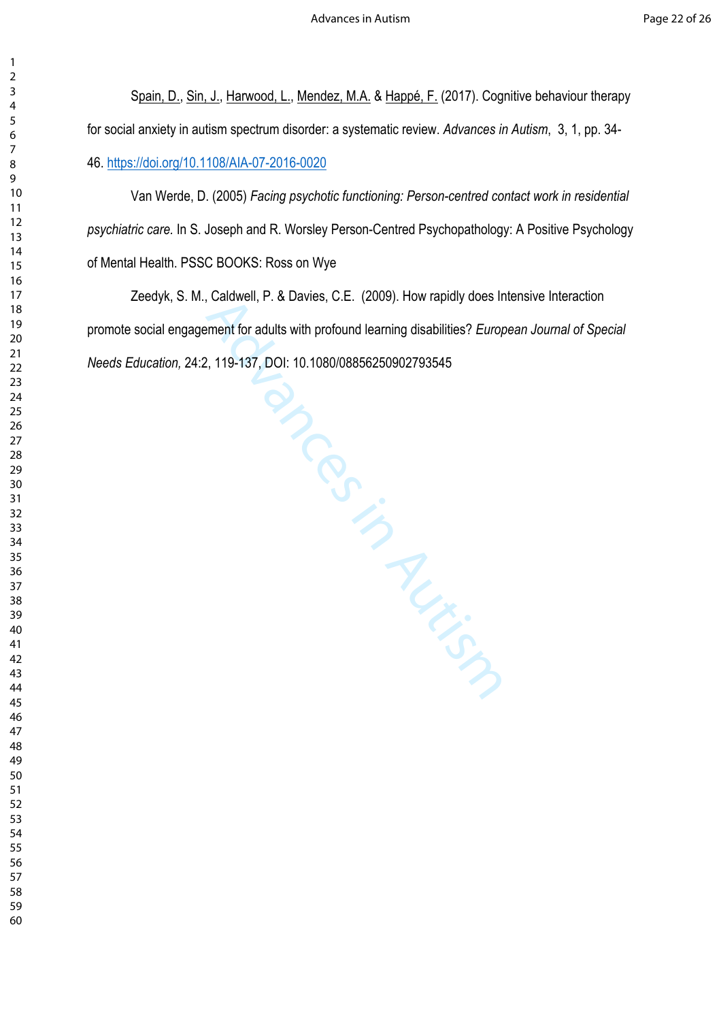S[pain, D.](/insight/search?q=Debbie%20Spain), [Sin, J.](/insight/search?q=Jacqueline%20Sin), [Harwood, L.,](/insight/search?q=Laura%20Harwood) [Mendez, M.A.](/insight/search?q=Maria%20Andreina%20Mendez) & [Happé, F.](/insight/search?q=Francesca%20Happ%C3%A9) (2017). Cognitive behaviour therapy for social anxiety in autism spectrum disorder: a systematic review. *Advances in Autism*, 3, 1, pp. 34- 46.<https://doi.org/10.1108/AIA-07-2016-0020>

Van Werde, D. (2005) *Facing psychotic functioning: Person-centred contact work in residential psychiatric care.* In S. Joseph and R. Worsley Person-Centred Psychopathology: A Positive Psychology of Mental Health. PSSC BOOKS: Ross on Wye

DOGI: 10.1uL Zeedyk, S. M., Caldwell, P. & Davies, C.E. (2009). How rapidly does Intensive Interaction promote social engagement for adults with profound learning disabilities? *European Journal of Special Needs Education,* 24:2, 119-137, DOI: 10.1080/08856250902793545

 $\mathbf{1}$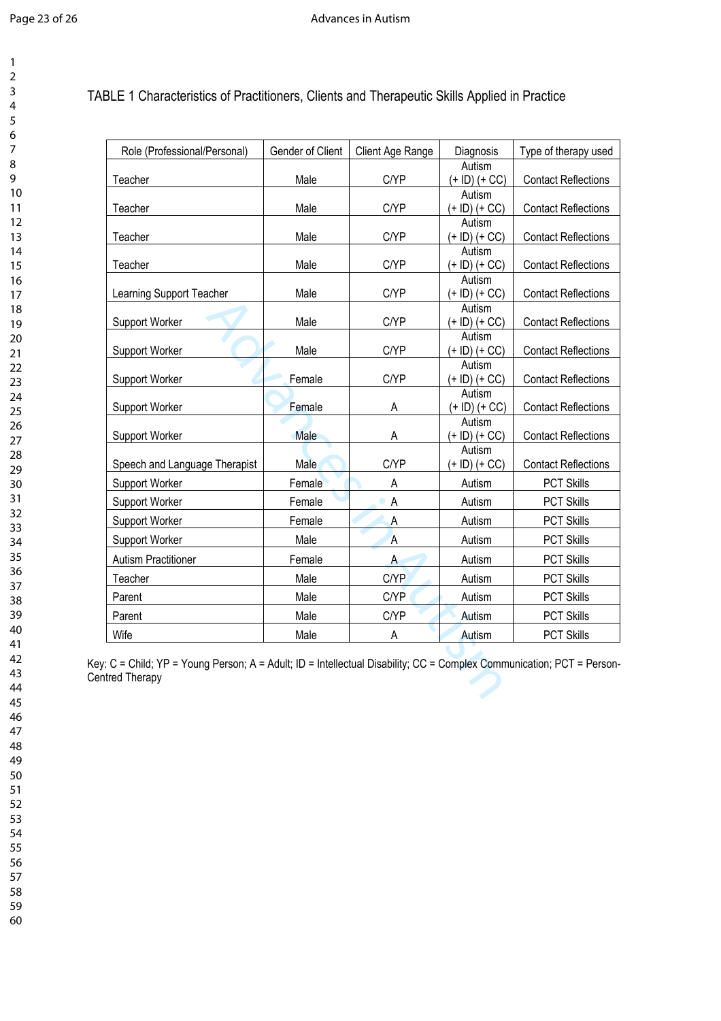# TABLE 1 Characteristics of Practitioners, Clients and Therapeutic Skills Applied in Practice

| Role (Professional/Personal)                                                                                                         | Gender of Client | Client Age Range | Diagnosis                   | Type of therapy used       |
|--------------------------------------------------------------------------------------------------------------------------------------|------------------|------------------|-----------------------------|----------------------------|
|                                                                                                                                      |                  |                  | Autism                      |                            |
| Teacher                                                                                                                              | Male             | C/YP             | (+ ID) (+ CC)               | <b>Contact Reflections</b> |
|                                                                                                                                      |                  |                  | Autism                      |                            |
| Teacher                                                                                                                              | Male             | C/YP             | $(+$ ID) $(+$ CC)<br>Autism | <b>Contact Reflections</b> |
| Teacher                                                                                                                              | Male             | C/YP             | $(+$ ID) $(+$ CC)           | <b>Contact Reflections</b> |
|                                                                                                                                      |                  |                  | Autism                      |                            |
| Teacher                                                                                                                              | Male             | C/YP             | $(+$ ID) $(+$ CC)           | <b>Contact Reflections</b> |
|                                                                                                                                      |                  |                  | Autism                      |                            |
| Learning Support Teacher                                                                                                             | Male             | C/YP             | $(+$ ID) $(+$ CC)           | <b>Contact Reflections</b> |
| Support Worker                                                                                                                       | Male             | C/YP             | Autism<br>$(+$ ID) $(+$ CC) | <b>Contact Reflections</b> |
|                                                                                                                                      |                  |                  | Autism                      |                            |
| Support Worker                                                                                                                       | Male             | C/YP             | $(+$ ID) $(+$ CC)           | <b>Contact Reflections</b> |
|                                                                                                                                      |                  |                  | Autism                      |                            |
| <b>Support Worker</b>                                                                                                                | Female           | C/YP             | $(+$ ID) $(+$ CC)           | <b>Contact Reflections</b> |
|                                                                                                                                      |                  |                  | Autism                      |                            |
| Support Worker                                                                                                                       | Female           | Α                | $(+$ ID) $(+$ CC)           | <b>Contact Reflections</b> |
| Support Worker                                                                                                                       | <b>Male</b>      | Α                | Autism<br>$(+$ ID) $(+$ CC) | <b>Contact Reflections</b> |
|                                                                                                                                      |                  |                  | Autism                      |                            |
| Speech and Language Therapist                                                                                                        | Male             | C/YP             | $(+$ ID) $(+$ CC)           | <b>Contact Reflections</b> |
| Support Worker                                                                                                                       | Female           | A                | Autism                      | <b>PCT Skills</b>          |
| Support Worker                                                                                                                       | Female           | $\mathsf A$      | Autism                      | <b>PCT Skills</b>          |
| Support Worker                                                                                                                       | Female           | Α                | Autism                      | <b>PCT Skills</b>          |
| Support Worker                                                                                                                       | Male             | $\overline{A}$   | Autism                      | <b>PCT Skills</b>          |
| <b>Autism Practitioner</b>                                                                                                           | Female           | A                | Autism                      | <b>PCT Skills</b>          |
| Teacher                                                                                                                              | Male             | C/YP             | Autism                      | <b>PCT Skills</b>          |
| Parent                                                                                                                               | Male             | C/YP             | Autism                      | <b>PCT Skills</b>          |
| Parent                                                                                                                               | Male             | C/YP             | Autism                      | <b>PCT Skills</b>          |
| Wife                                                                                                                                 | Male             | Α                | Autism                      | <b>PCT Skills</b>          |
| y: C = Child; YP = Young Person; A = Adult; ID = Intellectual Disability; CC = Complex Communication; PCT = Person-<br>ntred Therapy |                  |                  |                             |                            |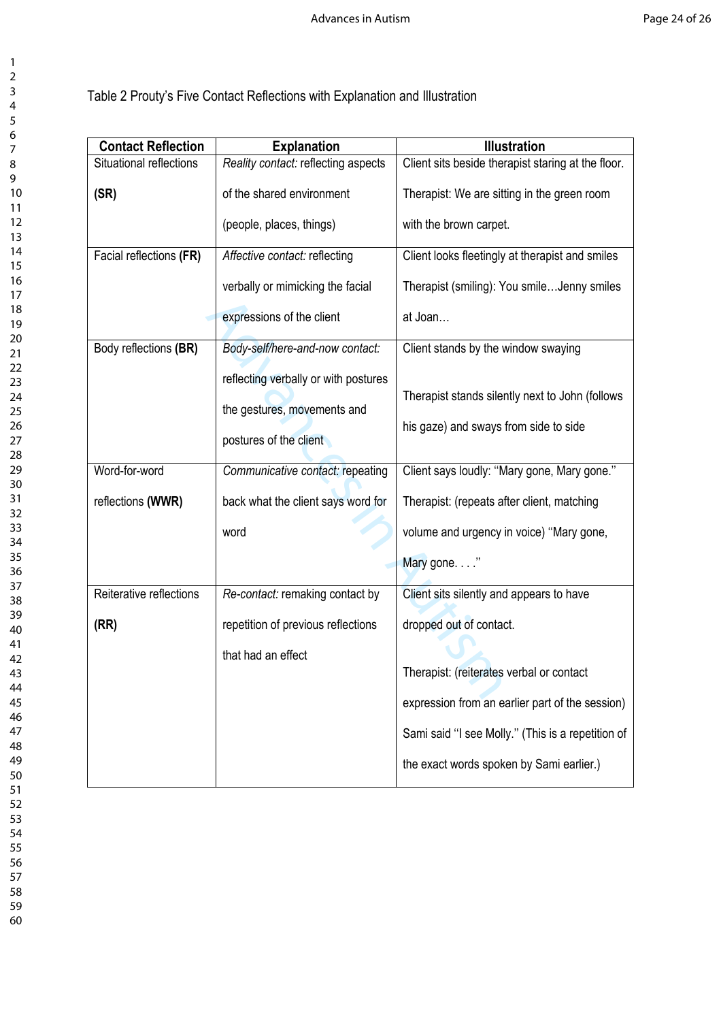| <b>Contact Reflection</b> | <b>Explanation</b>                                                                            | <b>Illustration</b>                                                                      |
|---------------------------|-----------------------------------------------------------------------------------------------|------------------------------------------------------------------------------------------|
| Situational reflections   | Reality contact: reflecting aspects                                                           | Client sits beside therapist staring at the floor.                                       |
| (SR)                      | of the shared environment                                                                     | Therapist: We are sitting in the green room                                              |
|                           | (people, places, things)                                                                      | with the brown carpet.                                                                   |
| Facial reflections (FR)   | Affective contact: reflecting                                                                 | Client looks fleetingly at therapist and smiles                                          |
|                           | verbally or mimicking the facial                                                              | Therapist (smiling): You smileJenny smiles                                               |
|                           | expressions of the client                                                                     | at Joan                                                                                  |
| Body reflections (BR)     | Body-self/here-and-now contact:                                                               | Client stands by the window swaying                                                      |
|                           | reflecting verbally or with postures<br>the gestures, movements and<br>postures of the client | Therapist stands silently next to John (follows<br>his gaze) and sways from side to side |
| Word-for-word             | Communicative contact: repeating                                                              | Client says loudly: "Mary gone, Mary gone."                                              |
| reflections (WWR)         | back what the client says word for                                                            | Therapist: (repeats after client, matching                                               |
|                           | word                                                                                          | volume and urgency in voice) "Mary gone,                                                 |
|                           |                                                                                               | Mary gone."                                                                              |
| Reiterative reflections   | Re-contact: remaking contact by                                                               | Client sits silently and appears to have                                                 |
| (RR)                      | repetition of previous reflections<br>that had an effect                                      | dropped out of contact.<br>Therapist: (reiterates verbal or contact                      |
|                           |                                                                                               |                                                                                          |
|                           |                                                                                               | expression from an earlier part of the session)                                          |
|                           |                                                                                               | Sami said "I see Molly." (This is a repetition of                                        |
|                           |                                                                                               | the exact words spoken by Sami earlier.)                                                 |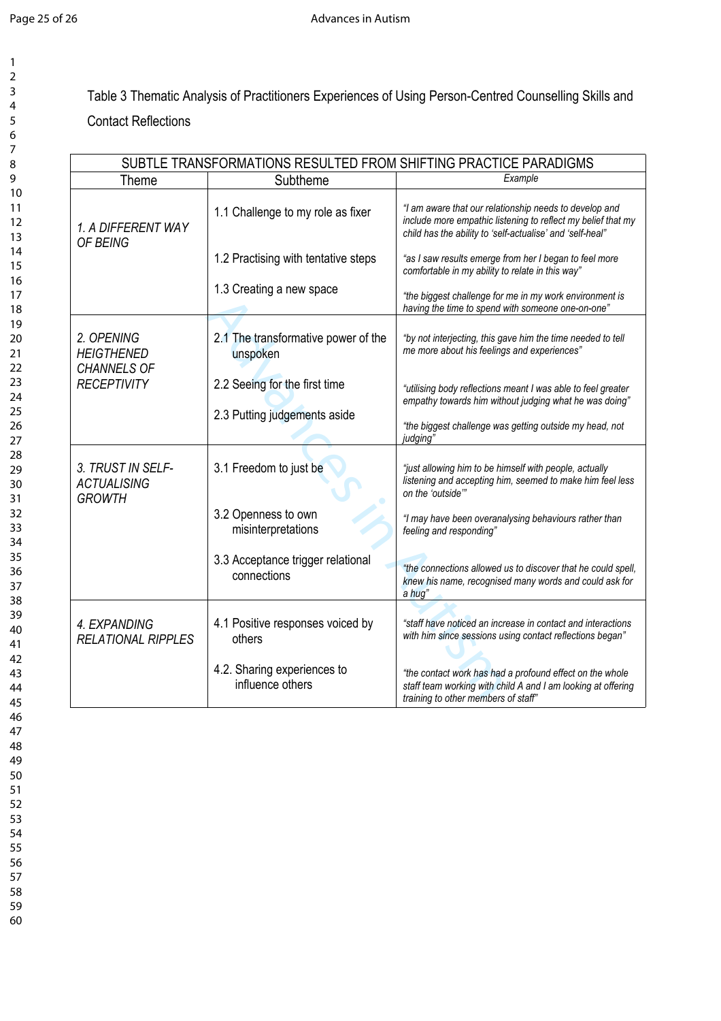$\mathbf{1}$  $\overline{2}$  $\overline{3}$  $\overline{\mathbf{4}}$ 

Table 3 Thematic Analysis of Practitioners Experiences of Using Person-Centred Counselling Skills and Contact Reflections

|                                                          |                                                  | SUBTLE TRANSFORMATIONS RESULTED FROM SHIFTING PRACTICE PARADIGMS                                                                                                                    |
|----------------------------------------------------------|--------------------------------------------------|-------------------------------------------------------------------------------------------------------------------------------------------------------------------------------------|
| Theme                                                    | Subtheme                                         | Example                                                                                                                                                                             |
| 1. A DIFFERENT WAY<br>OF BEING                           | 1.1 Challenge to my role as fixer                | "I am aware that our relationship needs to develop and<br>include more empathic listening to reflect my belief that my<br>child has the ability to 'self-actualise' and 'self-heal" |
|                                                          | 1.2 Practising with tentative steps              | "as I saw results emerge from her I began to feel more<br>comfortable in my ability to relate in this way"                                                                          |
|                                                          | 1.3 Creating a new space                         | "the biggest challenge for me in my work environment is<br>having the time to spend with someone one-on-one"                                                                        |
| 2. OPENING<br><b>HEIGTHENED</b><br><b>CHANNELS OF</b>    | 2.1 The transformative power of the<br>unspoken  | "by not interjecting, this gave him the time needed to tell<br>me more about his feelings and experiences"                                                                          |
| <b>RECEPTIVITY</b>                                       | 2.2 Seeing for the first time                    | "utilising body reflections meant I was able to feel greater<br>empathy towards him without judging what he was doing"                                                              |
|                                                          | 2.3 Putting judgements aside                     | "the biggest challenge was getting outside my head, not<br>judging"                                                                                                                 |
| 3. TRUST IN SELF-<br><b>ACTUALISING</b><br><b>GROWTH</b> | 3.1 Freedom to just be                           | "just allowing him to be himself with people, actually<br>listening and accepting him, seemed to make him feel less<br>on the 'outside"                                             |
|                                                          | 3.2 Openness to own<br>misinterpretations        | "I may have been overanalysing behaviours rather than<br>feeling and responding"                                                                                                    |
|                                                          | 3.3 Acceptance trigger relational<br>connections | "the connections allowed us to discover that he could spell,<br>knew his name, recognised many words and could ask for<br>a hug"                                                    |
| 4. EXPANDING<br><b>RELATIONAL RIPPLES</b>                | 4.1 Positive responses voiced by<br>others       | "staff have noticed an increase in contact and interactions<br>with him since sessions using contact reflections began"                                                             |
|                                                          | 4.2. Sharing experiences to<br>influence others  | "the contact work has had a profound effect on the whole<br>staff team working with child A and I am looking at offering<br>training to other members of staff"                     |